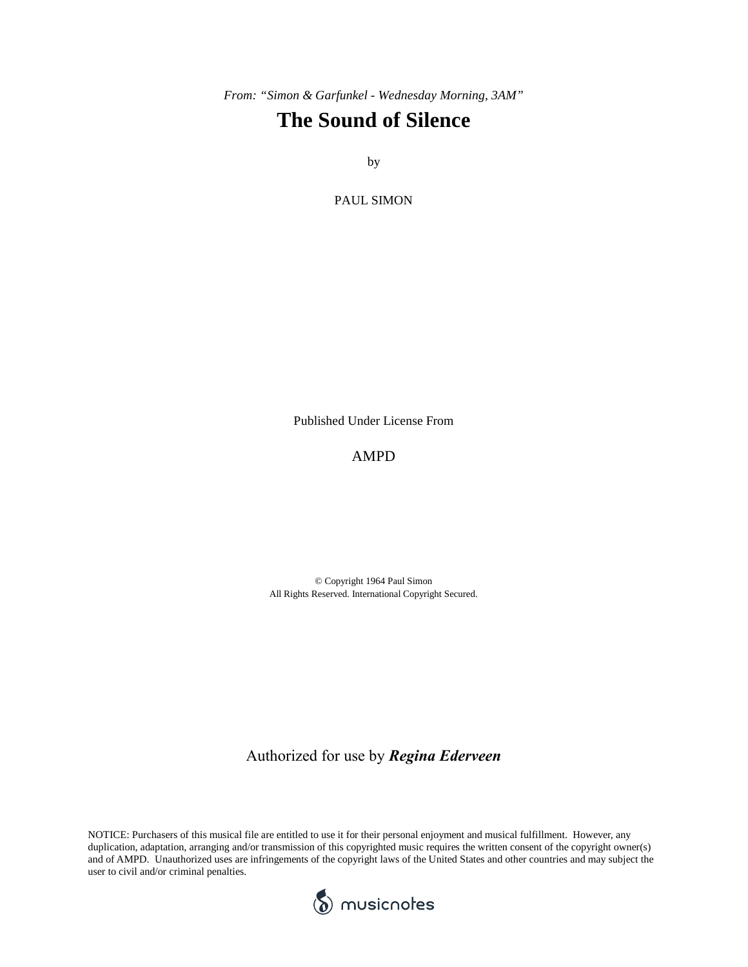*From: "Simon & Garfunkel - Wednesday Morning, 3AM"*

## **The Sound of Silence**

by

PAUL SIMON

Published Under License From

## AMPD

© Copyright 1964 Paul Simon All Rights Reserved. International Copyright Secured.

Authorized for use by *Regina Ederveen*

NOTICE: Purchasers of this musical file are entitled to use it for their personal enjoyment and musical fulfillment. However, any duplication, adaptation, arranging and/or transmission of this copyrighted music requires the written consent of the copyright owner(s) and of AMPD. Unauthorized uses are infringements of the copyright laws of the United States and other countries and may subject the user to civil and/or criminal penalties.

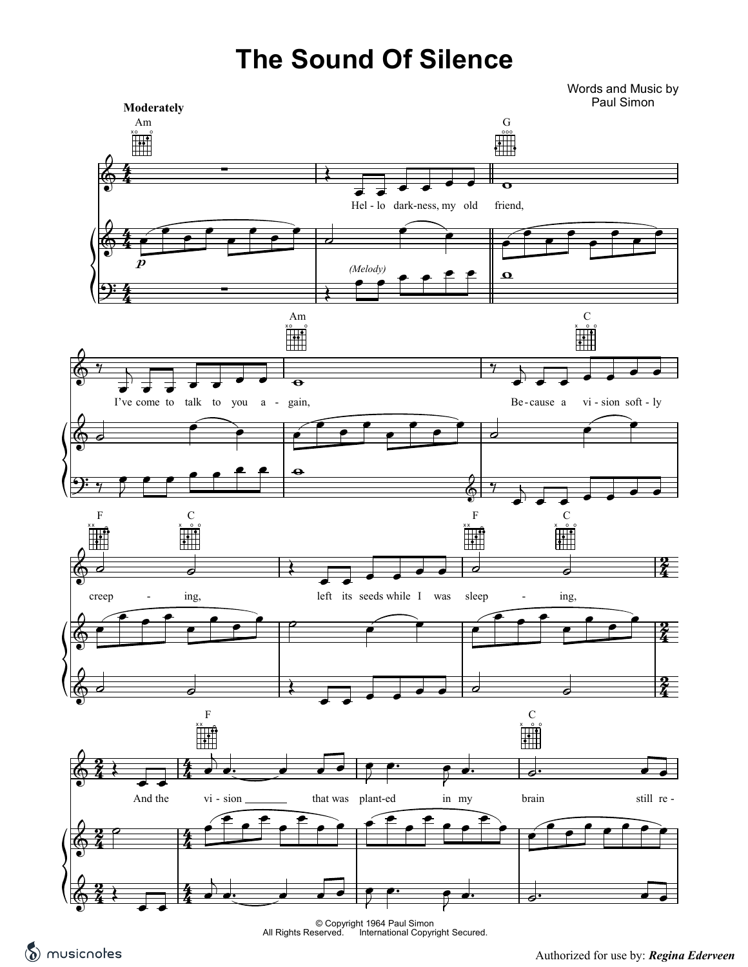## **The Sound Of Silence**

Words and Music by Paul Simon



© Copyright 1964 Paul Simon All Rights Reserved. International Copyright Secured.

All Rights Reserved. International Copyright Secured.<br>Authorized for use by: Regina Ederveen.<br>Authorized for use by: Regina Ederveen. Authorized for use by: *Regina Ederveen*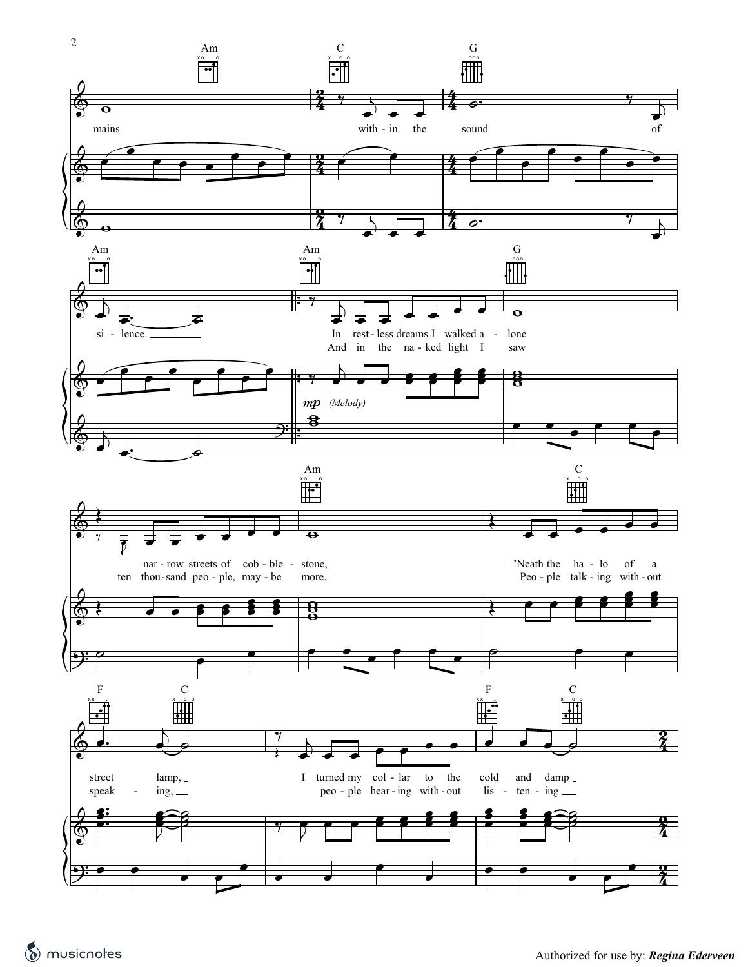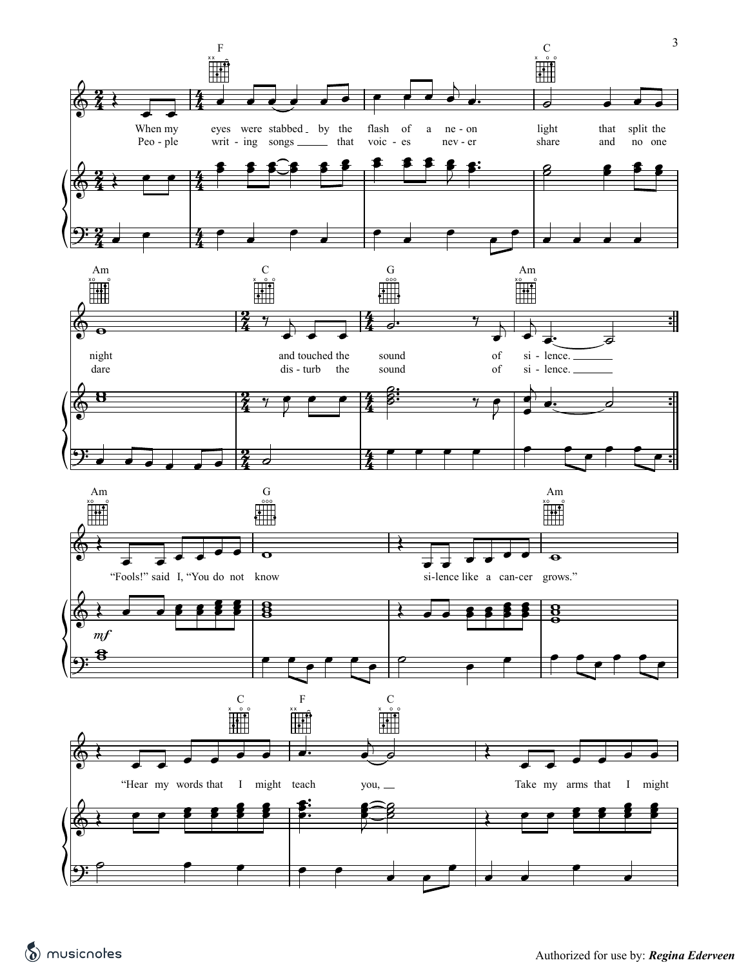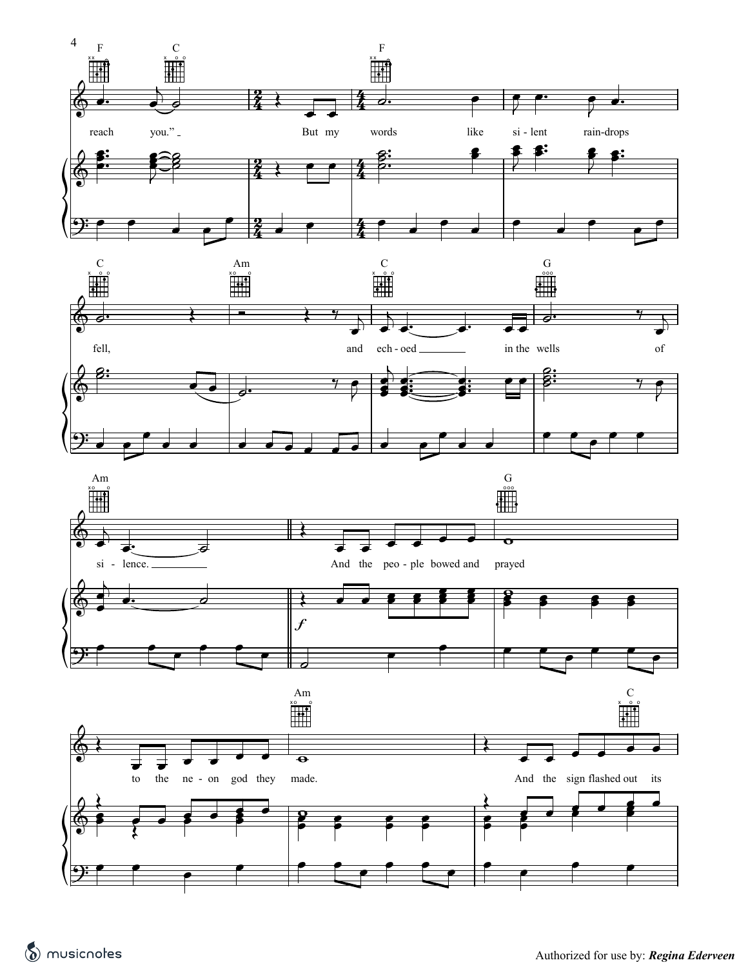